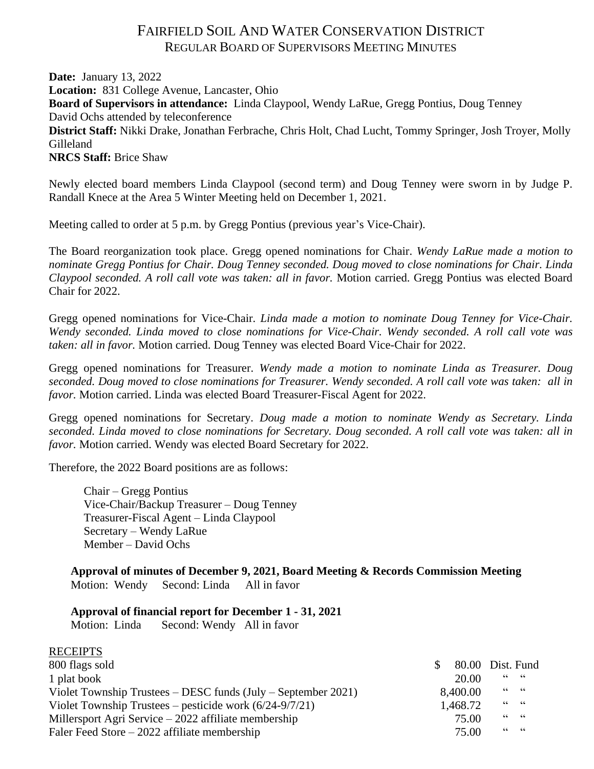# FAIRFIELD SOIL AND WATER CONSERVATION DISTRICT REGULAR BOARD OF SUPERVISORS MEETING MINUTES

**Date:** January 13, 2022 **Location:** 831 College Avenue, Lancaster, Ohio **Board of Supervisors in attendance:** Linda Claypool, Wendy LaRue, Gregg Pontius, Doug Tenney David Ochs attended by teleconference **District Staff:** Nikki Drake, Jonathan Ferbrache, Chris Holt, Chad Lucht, Tommy Springer, Josh Troyer, Molly Gilleland **NRCS Staff:** Brice Shaw

Newly elected board members Linda Claypool (second term) and Doug Tenney were sworn in by Judge P. Randall Knece at the Area 5 Winter Meeting held on December 1, 2021.

Meeting called to order at 5 p.m. by Gregg Pontius (previous year's Vice-Chair).

The Board reorganization took place. Gregg opened nominations for Chair. *Wendy LaRue made a motion to nominate Gregg Pontius for Chair. Doug Tenney seconded. Doug moved to close nominations for Chair. Linda Claypool seconded. A roll call vote was taken: all in favor.* Motion carried. Gregg Pontius was elected Board Chair for 2022.

Gregg opened nominations for Vice-Chair. *Linda made a motion to nominate Doug Tenney for Vice-Chair. Wendy seconded. Linda moved to close nominations for Vice-Chair. Wendy seconded. A roll call vote was taken: all in favor.* Motion carried. Doug Tenney was elected Board Vice-Chair for 2022.

Gregg opened nominations for Treasurer. *Wendy made a motion to nominate Linda as Treasurer. Doug seconded. Doug moved to close nominations for Treasurer. Wendy seconded. A roll call vote was taken: all in favor.* Motion carried. Linda was elected Board Treasurer-Fiscal Agent for 2022.

Gregg opened nominations for Secretary. *Doug made a motion to nominate Wendy as Secretary. Linda seconded. Linda moved to close nominations for Secretary. Doug seconded. A roll call vote was taken: all in favor.* Motion carried. Wendy was elected Board Secretary for 2022.

Therefore, the 2022 Board positions are as follows:

Chair – Gregg Pontius Vice-Chair/Backup Treasurer – Doug Tenney Treasurer-Fiscal Agent – Linda Claypool Secretary – Wendy LaRue Member – David Ochs

**Approval of minutes of December 9, 2021, Board Meeting & Records Commission Meeting** Motion: Wendy Second: Linda All in favor

### **Approval of financial report for December 1 - 31, 2021**

Motion: Linda Second: Wendy All in favor

**RECEIPTS** 

| KELEIF 15                                                         |                  |                |  |
|-------------------------------------------------------------------|------------------|----------------|--|
| 800 flags sold                                                    | 80.00 Dist. Fund |                |  |
| 1 plat book                                                       | 20.00            | 66666          |  |
| Violet Township Trustees $-$ DESC funds (July $-$ September 2021) | 8,400.00         | $66 \qquad 66$ |  |
| Violet Township Trustees – pesticide work $(6/24-9/7/21)$         | 1,468.72         | $66 - 66$      |  |
| Millersport Agri Service $-2022$ affiliate membership             | 75.00            | $66 - 66$      |  |
| Faler Feed Store $-2022$ affiliate membership                     | 75.00            | $66 \qquad 66$ |  |
|                                                                   |                  |                |  |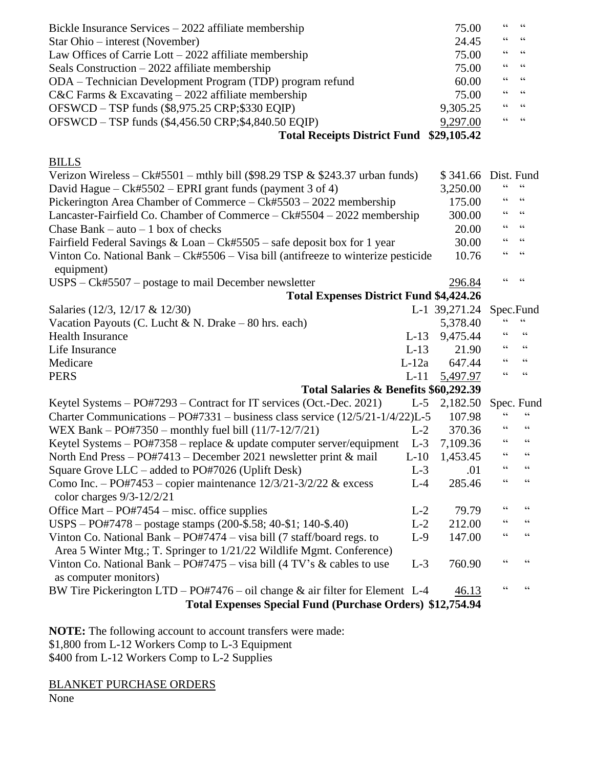| Bickle Insurance Services $-2022$ affiliate membership                                             |         | 75.00         | $\mbox{\bf G}$           | $\zeta \zeta$            |
|----------------------------------------------------------------------------------------------------|---------|---------------|--------------------------|--------------------------|
| Star Ohio – interest (November)                                                                    |         | 24.45         | $\textsf{G}\,\textsf{G}$ | $\zeta\,\zeta$           |
| Law Offices of Carrie Lott - 2022 affiliate membership                                             |         | 75.00         | 66                       | $\zeta\,\zeta$           |
| Seals Construction $-2022$ affiliate membership                                                    |         | 75.00         | 66                       | $\mathsf{G}\,\mathsf{G}$ |
| ODA – Technician Development Program (TDP) program refund                                          |         | 60.00         | $\zeta$ $\zeta$          | $\textsf{G}\,\textsf{G}$ |
| $C&C$ Farms & Excavating $-2022$ affiliate membership                                              |         | 75.00         | 66                       | $\zeta$ $\zeta$          |
| OFSWCD – TSP funds (\$8,975.25 CRP;\$330 EQIP)                                                     |         | 9,305.25      | 66                       | $\zeta\,\zeta$           |
| OFSWCD - TSP funds (\$4,456.50 CRP;\$4,840.50 EQIP)                                                |         | 9,297.00      | $\zeta\,\zeta$           | 66                       |
| <b>Total Receipts District Fund</b>                                                                |         | \$29,105.42   |                          |                          |
|                                                                                                    |         |               |                          |                          |
| <b>BILLS</b>                                                                                       |         |               |                          |                          |
| Verizon Wireless – Ck#5501 – mthly bill (\$98.29 TSP $&$ \$243.37 urban funds)                     |         | \$341.66      |                          | Dist. Fund               |
| David Hague – $Ck#5502$ – EPRI grant funds (payment 3 of 4)                                        |         | 3,250.00      | 66                       | $\mbox{\bf G}$           |
| Pickerington Area Chamber of Commerce – Ck#5503 – 2022 membership                                  |         | 175.00        | 66                       | $\mathsf{G}\,\mathsf{G}$ |
| Lancaster-Fairfield Co. Chamber of Commerce - Ck#5504 - 2022 membership                            |         | 300.00        | $\zeta$ $\zeta$          | $\textsf{G}\,\textsf{G}$ |
| Chase Bank – auto – 1 box of checks                                                                |         | 20.00         | $\textsf{G}\,\textsf{G}$ | $\textsf{G}\,\textsf{G}$ |
| Fairfield Federal Savings & Loan - Ck#5505 - safe deposit box for 1 year                           |         | 30.00         | 66                       | $\textsf{G}\,\textsf{G}$ |
| Vinton Co. National Bank $-Ck#5506 - Visa bill$ (antifreeze to winterize pesticide<br>equipment)   |         | 10.76         | 66                       | 66                       |
| $USPS - Ck#5507 - postage$ to mail December newsletter                                             |         | 296.84        | $\zeta$ $\zeta$          | 66                       |
| <b>Total Expenses District Fund \$4,424.26</b>                                                     |         |               |                          |                          |
| Salaries (12/3, 12/17 & 12/30)                                                                     |         | L-1 39,271.24 |                          | Spec.Fund                |
| Vacation Payouts (C. Lucht & N. Drake - 80 hrs. each)                                              |         | 5,378.40      |                          | $\zeta$ $\zeta$          |
| <b>Health Insurance</b>                                                                            | $L-13$  | 9,475.44      | 66                       | $\mbox{\bf G}$           |
| Life Insurance                                                                                     | $L-13$  | 21.90         | $\zeta$ $\zeta$          | $\mbox{\bf G}$           |
| Medicare                                                                                           | $L-12a$ | 647.44        | $\textsf{G}\,\textsf{G}$ | $\mbox{\bf G}$           |
| <b>PERS</b>                                                                                        | $L-11$  | 5,497.97      | $\zeta$ $\zeta$          | $\zeta$ $\zeta$          |
| Total Salaries & Benefits \$60,292.39                                                              |         |               |                          |                          |
| Keytel Systems – PO#7293 – Contract for IT services (Oct.-Dec. 2021)                               | $L-5$   | 2,182.50      |                          | Spec. Fund               |
| Charter Communications - PO#7331 - business class service (12/5/21-1/4/22)L-5                      |         | 107.98        | 66                       | 66                       |
| WEX Bank – PO#7350 – monthly fuel bill $(11/7-12/7/21)$                                            | $L-2$   | 370.36        | 66                       | $\textsf{G}\,\textsf{G}$ |
| Keytel Systems $-$ PO#7358 $-$ replace & update computer server/equipment                          | $L-3$   | 7,109.36      | $\zeta$ $\zeta$          | $\textsf{G}\,\textsf{G}$ |
| North End Press - PO#7413 - December 2021 newsletter print & mail                                  | $L-10$  | 1,453.45      | 66                       | $\zeta\,\zeta$           |
| Square Grove $LLC - added$ to PO#7026 (Uplift Desk)                                                | $L-3$   | .01           | 66                       | $\mathsf{G}\,\mathsf{G}$ |
| Como Inc. - PO#7453 - copier maintenance 12/3/21-3/2/22 & excess<br>color charges 9/3-12/2/21      | $L-4$   | 285.46        | $\epsilon$               | $\,$ 6 6 $\,$            |
| Office Mart $-$ PO#7454 $-$ misc. office supplies                                                  | $L-2$   | 79.79         | $\textsf{G}\,\textsf{G}$ | $\zeta\,\zeta$           |
| USPS – PO#7478 – postage stamps $(200 - $.58; 40 - $1; 140 - $.40)$                                | $L-2$   | 212.00        | 66                       | $\textsf{G}\,\textsf{G}$ |
| Vinton Co. National Bank $-$ PO#7474 $-$ visa bill (7 staff/board regs. to                         | $L-9$   | 147.00        | 66                       | $\zeta$ $\zeta$          |
| Area 5 Winter Mtg.; T. Springer to 1/21/22 Wildlife Mgmt. Conference)                              |         |               |                          |                          |
| Vinton Co. National Bank – PO#7475 – visa bill (4 TV's $\&$ cables to use<br>as computer monitors) | $L-3$   | 760.90        | $\textsf{G}\,\textsf{G}$ | $\zeta\,\zeta$           |
| BW Tire Pickerington LTD - PO#7476 - oil change & air filter for Element L-4                       |         | 46.13         | $\textsf{G}\,\textsf{G}$ | $\textsf{G}\,\textsf{G}$ |
| <b>Total Expenses Special Fund (Purchase Orders) \$12,754.94</b>                                   |         |               |                          |                          |
|                                                                                                    |         |               |                          |                          |

**NOTE:** The following account to account transfers were made: \$1,800 from L-12 Workers Comp to L-3 Equipment \$400 from L-12 Workers Comp to L-2 Supplies

BLANKET PURCHASE ORDERS

None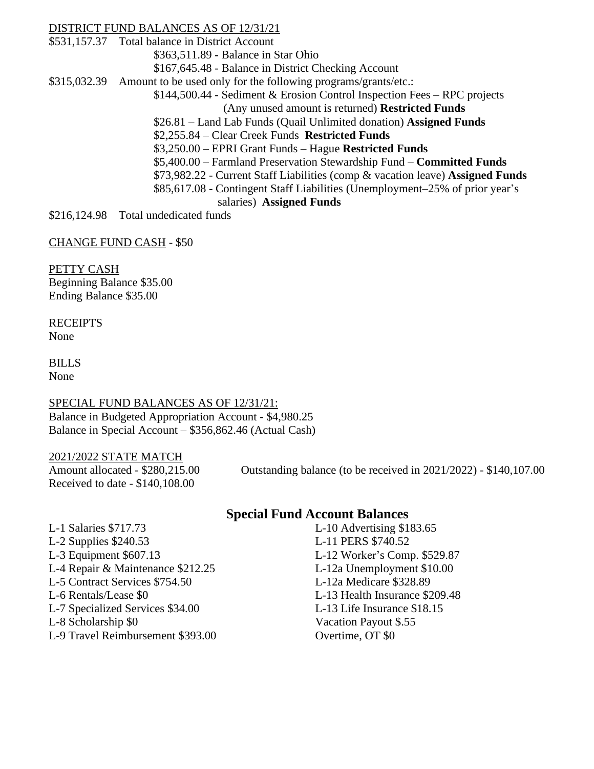### DISTRICT FUND BALANCES AS OF 12/31/21

\$531,157.37 Total balance in District Account

\$363,511.89 **-** Balance in Star Ohio

\$167,645.48 - Balance in District Checking Account

\$315,032.39 Amount to be used only for the following programs/grants/etc.:

\$144,500.44 - Sediment & Erosion Control Inspection Fees – RPC projects

(Any unused amount is returned) **Restricted Funds**

\$26.81 – Land Lab Funds (Quail Unlimited donation) **Assigned Funds**

\$2,255.84 – Clear Creek Funds **Restricted Funds**

\$3,250.00 – EPRI Grant Funds – Hague **Restricted Funds**

\$5,400.00 – Farmland Preservation Stewardship Fund – **Committed Funds**

\$73,982.22 - Current Staff Liabilities (comp & vacation leave) **Assigned Funds**

\$85,617.08 - Contingent Staff Liabilities (Unemployment–25% of prior year's salaries) **Assigned Funds**

\$216,124.98 Total undedicated funds

CHANGE FUND CASH - \$50

PETTY CASH Beginning Balance \$35.00 Ending Balance \$35.00

**RECEIPTS** None

BILLS None

### SPECIAL FUND BALANCES AS OF 12/31/21: Balance in Budgeted Appropriation Account - \$4,980.25 Balance in Special Account – \$356,862.46 (Actual Cash)

## 2021/2022 STATE MATCH

Received to date - \$140,108.00

Amount allocated - \$280,215.00 Outstanding balance (to be received in 2021/2022) - \$140,107.00

## **Special Fund Account Balances**

- L-1 Salaries \$717.73 L-10 Advertising \$183.65 L-2 Supplies \$240.53 L-11 PERS \$740.52 L-3 Equipment \$607.13 L-12 Worker's Comp. \$529.87 L-4 Repair & Maintenance \$212.25 L-12a Unemployment \$10.00 L-5 Contract Services \$754.50 L-12a Medicare \$328.89 L-6 Rentals/Lease \$0 L-13 Health Insurance \$209.48 L-7 Specialized Services \$34.00 L-13 Life Insurance \$18.15 L-8 Scholarship \$0 Vacation Payout \$.55
- L-9 Travel Reimbursement \$393.00 Overtime, OT \$0
-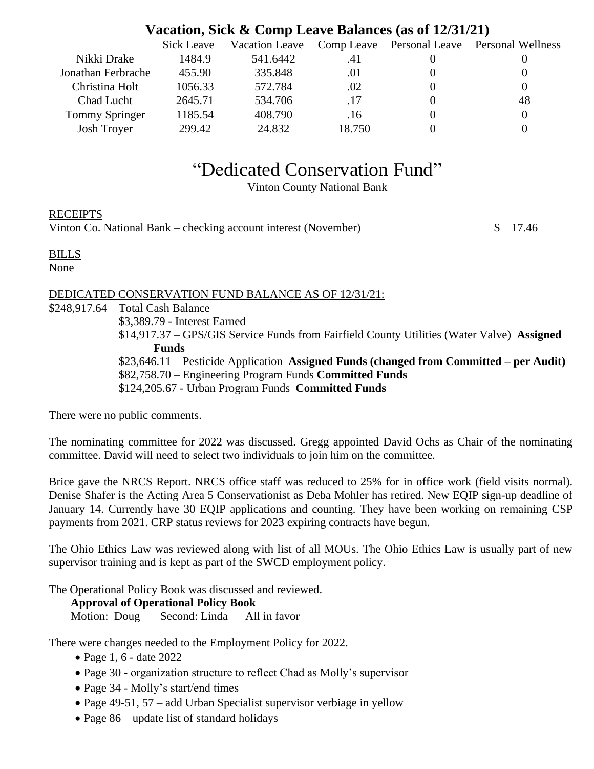# **Vacation, Sick & Comp Leave Balances (as of 12/31/21)**

|                       | Sick Leave | Vacation Leave | Comp Leave | Personal Leave | Personal Wellness |
|-----------------------|------------|----------------|------------|----------------|-------------------|
| Nikki Drake           | 1484.9     | 541.6442       | .41        |                |                   |
| Jonathan Ferbrache    | 455.90     | 335.848        | .01        |                |                   |
| Christina Holt        | 1056.33    | 572.784        | .02        |                |                   |
| Chad Lucht            | 2645.71    | 534.706        | .17        |                | 48                |
| <b>Tommy Springer</b> | 1185.54    | 408.790        | .16        |                |                   |
| <b>Josh Troyer</b>    | 299.42     | 24.832         | 18.750     |                |                   |

# "Dedicated Conservation Fund"

Vinton County National Bank

RECEIPTS

Vinton Co. National Bank – checking account interest (November)  $\qquad$  \$ 17.46

#### BILLS

None

### DEDICATED CONSERVATION FUND BALANCE AS OF 12/31/21:

\$248,917.64 Total Cash Balance \$3,389.79 - Interest Earned \$14,917.37 – GPS/GIS Service Funds from Fairfield County Utilities (Water Valve) **Assigned Funds** \$23,646.11 – Pesticide Application **Assigned Funds (changed from Committed – per Audit)** \$82,758.70 – Engineering Program Funds **Committed Funds** \$124,205.67 - Urban Program Funds **Committed Funds**

There were no public comments.

The nominating committee for 2022 was discussed. Gregg appointed David Ochs as Chair of the nominating committee. David will need to select two individuals to join him on the committee.

Brice gave the NRCS Report. NRCS office staff was reduced to 25% for in office work (field visits normal). Denise Shafer is the Acting Area 5 Conservationist as Deba Mohler has retired. New EQIP sign-up deadline of January 14. Currently have 30 EQIP applications and counting. They have been working on remaining CSP payments from 2021. CRP status reviews for 2023 expiring contracts have begun.

The Ohio Ethics Law was reviewed along with list of all MOUs. The Ohio Ethics Law is usually part of new supervisor training and is kept as part of the SWCD employment policy.

The Operational Policy Book was discussed and reviewed.

**Approval of Operational Policy Book**

Motion: Doug Second: Linda All in favor

There were changes needed to the Employment Policy for 2022.

- Page 1, 6 date 2022
- Page 30 organization structure to reflect Chad as Molly's supervisor
- Page 34 Molly's start/end times
- Page 49-51, 57 add Urban Specialist supervisor verbiage in yellow
- Page 86 update list of standard holidays